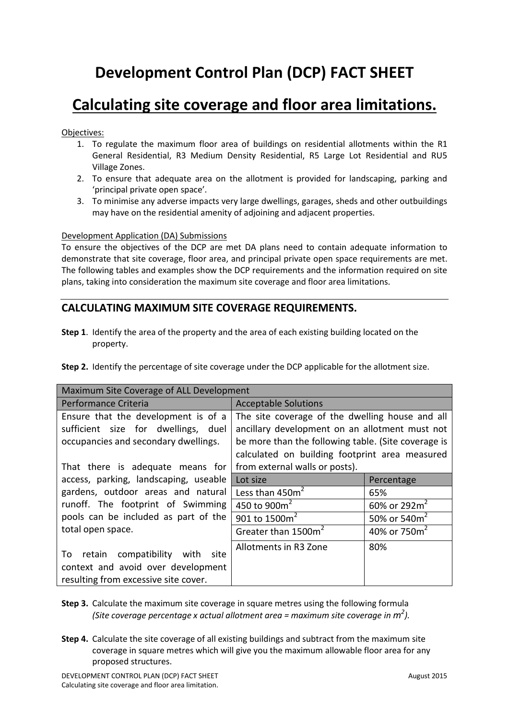# **Development Control Plan (DCP) FACT SHEET**

## **Calculating site coverage and floor area limitations.**

Objectives:

- 1. To regulate the maximum floor area of buildings on residential allotments within the R1 General Residential, R3 Medium Density Residential, R5 Large Lot Residential and RU5 Village Zones.
- 2. To ensure that adequate area on the allotment is provided for landscaping, parking and 'principal private open space'.
- 3. To minimise any adverse impacts very large dwellings, garages, sheds and other outbuildings may have on the residential amenity of adjoining and adjacent properties.

#### Development Application (DA) Submissions

To ensure the objectives of the DCP are met DA plans need to contain adequate information to demonstrate that site coverage, floor area, and principal private open space requirements are met. The following tables and examples show the DCP requirements and the information required on site plans, taking into consideration the maximum site coverage and floor area limitations.

#### **CALCULATING MAXIMUM SITE COVERAGE REQUIREMENTS.**

**Step 1**. Identify the area of the property and the area of each existing building located on the property.

|  |  |  |  | Step 2. Identify the percentage of site coverage under the DCP applicable for the allotment size. |
|--|--|--|--|---------------------------------------------------------------------------------------------------|
|--|--|--|--|---------------------------------------------------------------------------------------------------|

| Maximum Site Coverage of ALL Development                                                                                |                                                                                                                                                                                                            |                          |  |  |  |
|-------------------------------------------------------------------------------------------------------------------------|------------------------------------------------------------------------------------------------------------------------------------------------------------------------------------------------------------|--------------------------|--|--|--|
| Performance Criteria                                                                                                    | <b>Acceptable Solutions</b>                                                                                                                                                                                |                          |  |  |  |
| Ensure that the development is of a<br>sufficient size for dwellings, duel<br>occupancies and secondary dwellings.      | The site coverage of the dwelling house and all<br>ancillary development on an allotment must not<br>be more than the following table. (Site coverage is<br>calculated on building footprint area measured |                          |  |  |  |
| That there is adequate means for                                                                                        | from external walls or posts).                                                                                                                                                                             |                          |  |  |  |
| access, parking, landscaping, useable                                                                                   | Lot size                                                                                                                                                                                                   | Percentage               |  |  |  |
| gardens, outdoor areas and natural                                                                                      | Less than $450m2$                                                                                                                                                                                          | 65%                      |  |  |  |
| runoff. The footprint of Swimming                                                                                       | 450 to 900 $m^2$                                                                                                                                                                                           | 60% or $292m^2$          |  |  |  |
| pools can be included as part of the                                                                                    | 901 to $1500m^2$                                                                                                                                                                                           | 50% or 540m <sup>2</sup> |  |  |  |
| total open space.                                                                                                       | Greater than 1500m <sup>2</sup>                                                                                                                                                                            | 40% or 750m <sup>2</sup> |  |  |  |
| retain compatibility with<br>To<br>site -<br>context and avoid over development<br>resulting from excessive site cover. | Allotments in R3 Zone                                                                                                                                                                                      | 80%                      |  |  |  |

- **Step 3.** Calculate the maximum site coverage in square metres using the following formula *(Site coverage percentage x actual allotment area = maximum site coverage in m 2 ).*
- **Step 4.** Calculate the site coverage of all existing buildings and subtract from the maximum site coverage in square metres which will give you the maximum allowable floor area for any proposed structures.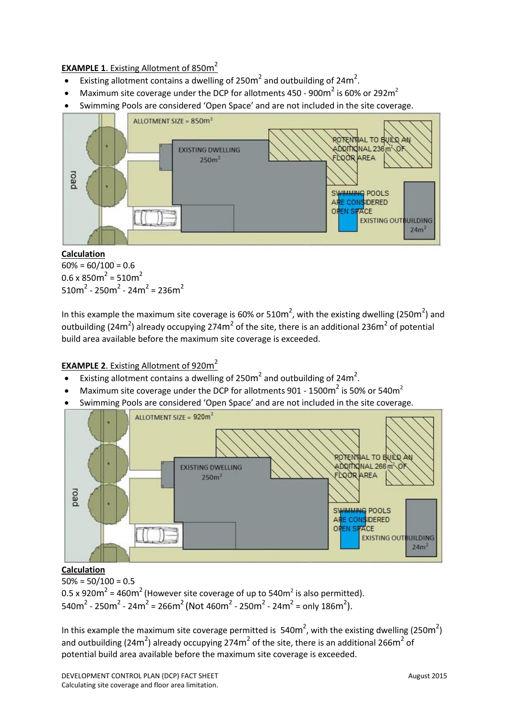#### **EXAMPLE 1**. Existing Allotment of 850m 2

- Existing allotment contains a dwelling of 250 $m^2$  and outbuilding of 24 $m^2$ .
- Maximum site coverage under the DCP for allotments 450 900m<sup>2</sup> is 60% or 292m<sup>2</sup>
- Swimming Pools are considered 'Open Space' and are not included in the site coverage.



#### **Calculation**

 $60\% = 60/100 = 0.6$  $0.6 \times 850$ m<sup>2</sup> = 510m<sup>2</sup>  $510m^2 - 250m^2 - 24m^2 = 236m^2$ 

In this example the maximum site coverage is 60% or 510m<sup>2</sup>, with the existing dwelling (250m<sup>2</sup>) and outbuilding (24m<sup>2</sup>) already occupying 274m<sup>2</sup> of the site, there is an additional 236m<sup>2</sup> of potential build area available before the maximum site coverage is exceeded.

#### **EXAMPLE 2**. Existing Allotment of 920m 2

- Existing allotment contains a dwelling of 250 $m^2$  and outbuilding of 24 $m^2$ .
- Maximum site coverage under the DCP for allotments 901 1500 $m^2$  is 50% or 540 $m^2$
- Swimming Pools are considered 'Open Space' and are not included in the site coverage.



**Calculation**

 $50\% = 50/100 = 0.5$ 0.5 x 920 $m^2$  = 460 $m^2$  (However site coverage of up to 540 $m^2$  is also permitted). 540m<sup>2</sup> - 250m<sup>2</sup> - 24m<sup>2</sup> = 266m<sup>2</sup> (Not 460m<sup>2</sup> - 250m<sup>2</sup> - 24m<sup>2</sup> = only 186m<sup>2</sup>).

In this example the maximum site coverage permitted is  $540m^2$ , with the existing dwelling (250m<sup>2</sup>) and outbuilding (24m<sup>2</sup>) already occupying 274m<sup>2</sup> of the site, there is an additional 266m<sup>2</sup> of potential build area available before the maximum site coverage is exceeded.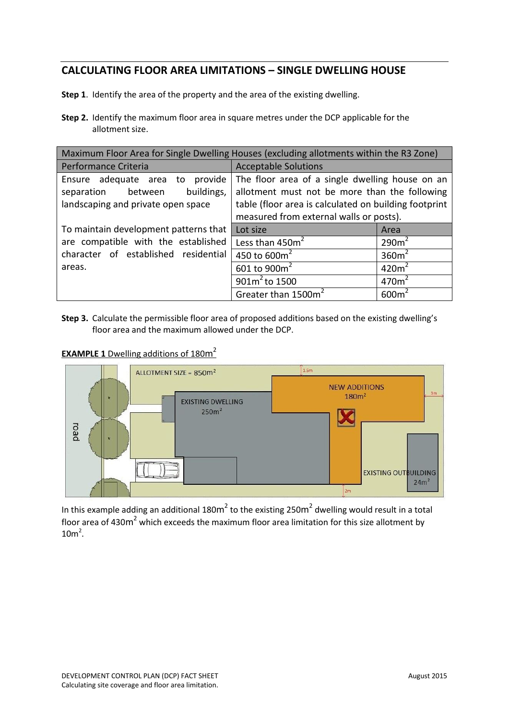### **CALCULATING FLOOR AREA LIMITATIONS – SINGLE DWELLING HOUSE**

**Step 1**. Identify the area of the property and the area of the existing dwelling.

**Step 2.** Identify the maximum floor area in square metres under the DCP applicable for the allotment size.

| Maximum Floor Area for Single Dwelling Houses (excluding allotments within the R3 Zone)                   |                                                                                                                                                                                                      |                   |  |  |
|-----------------------------------------------------------------------------------------------------------|------------------------------------------------------------------------------------------------------------------------------------------------------------------------------------------------------|-------------------|--|--|
| Performance Criteria                                                                                      | <b>Acceptable Solutions</b>                                                                                                                                                                          |                   |  |  |
| Ensure adequate area to provide<br>buildings,<br>separation between<br>landscaping and private open space | The floor area of a single dwelling house on an<br>allotment must not be more than the following<br>table (floor area is calculated on building footprint<br>measured from external walls or posts). |                   |  |  |
| To maintain development patterns that                                                                     | Lot size                                                                                                                                                                                             | Area              |  |  |
| are compatible with the established                                                                       | Less than 450m <sup>2</sup>                                                                                                                                                                          | 290m <sup>2</sup> |  |  |
| character of established residential                                                                      | 450 to $600m^2$                                                                                                                                                                                      | 360m <sup>2</sup> |  |  |
| areas.                                                                                                    | 601 to 900m <sup>2</sup>                                                                                                                                                                             | 420m <sup>2</sup> |  |  |
|                                                                                                           | $901m^2$ to 1500                                                                                                                                                                                     | 470m <sup>2</sup> |  |  |
|                                                                                                           | Greater than 1500m <sup>2</sup>                                                                                                                                                                      | 600m <sup>2</sup> |  |  |

**Step 3.** Calculate the permissible floor area of proposed additions based on the existing dwelling's floor area and the maximum allowed under the DCP.

**EXAMPLE 1** Dwelling additions of 180m 2



In this example adding an additional 180m<sup>2</sup> to the existing 250m<sup>2</sup> dwelling would result in a total floor area of 430 $m^2$  which exceeds the maximum floor area limitation for this size allotment by  $10m<sup>2</sup>$ .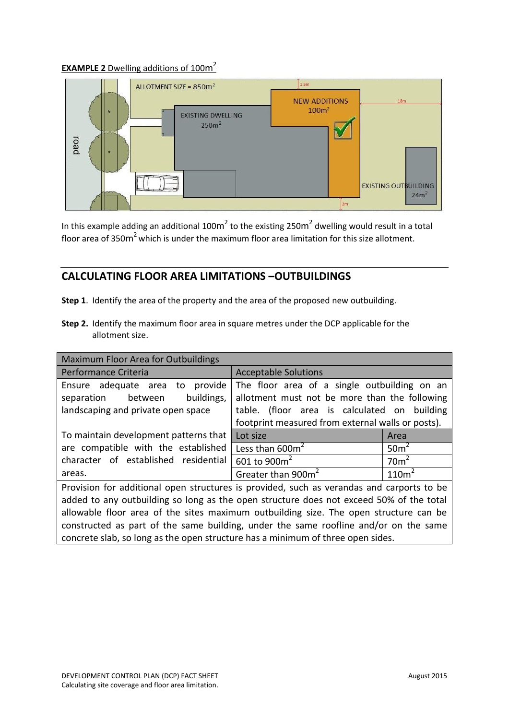#### **EXAMPLE 2** Dwelling additions of 100m 2



In this example adding an additional 100m<sup>2</sup> to the existing 250m<sup>2</sup> dwelling would result in a total floor area of 350 $m^2$  which is under the maximum floor area limitation for this size allotment.

#### **CALCULATING FLOOR AREA LIMITATIONS –OUTBUILDINGS**

- **Step 1**. Identify the area of the property and the area of the proposed new outbuilding.
- **Step 2.** Identify the maximum floor area in square metres under the DCP applicable for the allotment size.

| Maximum Floor Area for Outbuildings                                                       |                                                   |                   |  |  |  |
|-------------------------------------------------------------------------------------------|---------------------------------------------------|-------------------|--|--|--|
| Performance Criteria                                                                      | <b>Acceptable Solutions</b>                       |                   |  |  |  |
| Ensure adequate area to provide                                                           | The floor area of a single outbuilding on an      |                   |  |  |  |
| buildings,<br>between<br>separation                                                       | allotment must not be more than the following     |                   |  |  |  |
| landscaping and private open space                                                        | table. (floor area is calculated on building      |                   |  |  |  |
|                                                                                           | footprint measured from external walls or posts). |                   |  |  |  |
| To maintain development patterns that                                                     | Lot size                                          | Area              |  |  |  |
| are compatible with the established                                                       | Less than 600m <sup>2</sup>                       | 50 <sup>m²</sup>  |  |  |  |
| character of established residential                                                      | 601 to 900m <sup>2</sup>                          | 70 <sup>2</sup>   |  |  |  |
| areas.                                                                                    | Greater than 900m <sup>2</sup>                    | 110m <sup>2</sup> |  |  |  |
| Provision for additional open structures is provided, such as verandas and carports to be |                                                   |                   |  |  |  |
| added to any outbuilding so long as the open structure does not exceed 50% of the total   |                                                   |                   |  |  |  |
| allowable floor area of the sites maximum outbuilding size. The open structure can be     |                                                   |                   |  |  |  |
| constructed as part of the same building, under the same roofline and/or on the same      |                                                   |                   |  |  |  |
| concrete slab, so long as the open structure has a minimum of three open sides.           |                                                   |                   |  |  |  |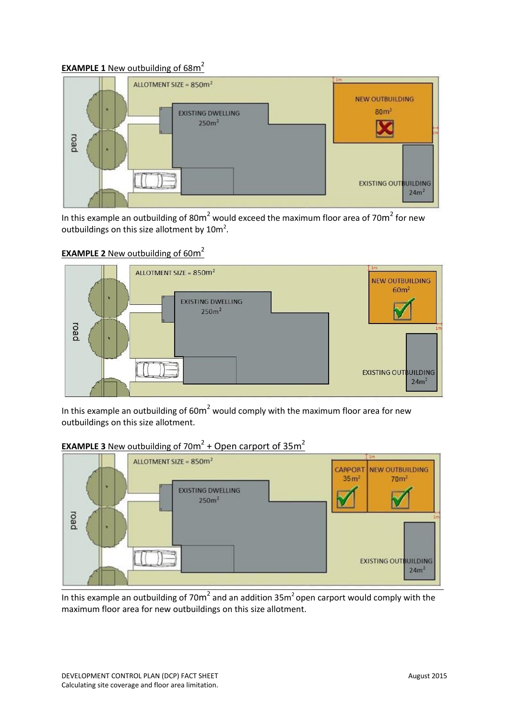#### **EXAMPLE 1** New outbuilding of 68m 2



In this example an outbuilding of 80 $m^2$  would exceed the maximum floor area of 70 $m^2$  for new outbuildings on this size allotment by  $10m^2$ .

#### **EXAMPLE 2** New outbuilding of 60m<sup>2</sup>



In this example an outbuilding of 60 $m^2$  would comply with the maximum floor area for new outbuildings on this size allotment.



### **EXAMPLE 3** New outbuilding of  $70m^2$  + Open carport of  $35m^2$

In this example an outbuilding of 70m<sup>2</sup> and an addition 35m<sup>2</sup> open carport would comply with the maximum floor area for new outbuildings on this size allotment.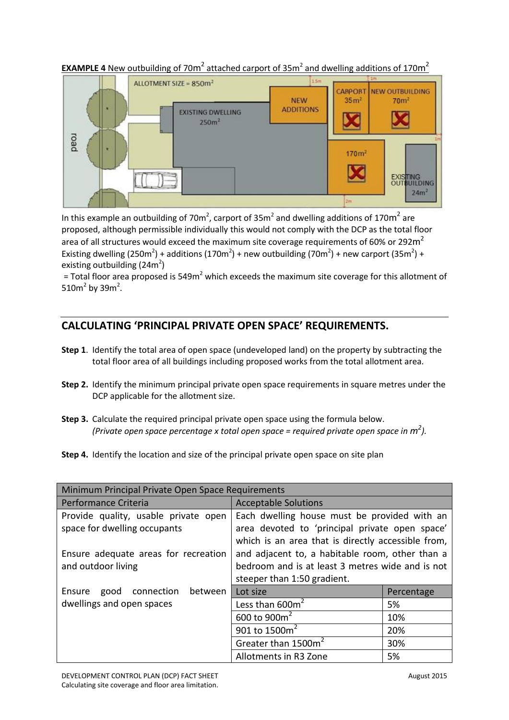

**EXAMPLE 4** New outbuilding of 70m<sup>2</sup> attached carport of  $35m^2$  and dwelling additions of 170m<sup>2</sup>

In this example an outbuilding of 70m<sup>2</sup>, carport of 35m<sup>2</sup> and dwelling additions of 170m<sup>2</sup> are proposed, although permissible individually this would not comply with the DCP as the total floor area of all structures would exceed the maximum site coverage requirements of 60% or 292 $m^2$ Existing dwelling (250m<sup>2</sup>) + additions (170m<sup>2</sup>) + new outbuilding (70m<sup>2</sup>) + new carport (35m<sup>2</sup>) + existing outbuilding  $(24m^2)$ 

= Total floor area proposed is 549m<sup>2</sup> which exceeds the maximum site coverage for this allotment of 510 $m^2$  by 39 $m^2$ .

## **CALCULATING 'PRINCIPAL PRIVATE OPEN SPACE' REQUIREMENTS.**

- **Step 1**. Identify the total area of open space (undeveloped land) on the property by subtracting the total floor area of all buildings including proposed works from the total allotment area.
- **Step 2.** Identify the minimum principal private open space requirements in square metres under the DCP applicable for the allotment size.
- **Step 3.** Calculate the required principal private open space using the formula below. *(Private open space percentage x total open space = required private open space in*  $m^2$ *).*
- **Step 4.** Identify the location and size of the principal private open space on site plan

| Minimum Principal Private Open Space Requirements                    |                                                                                                                                                      |            |  |  |
|----------------------------------------------------------------------|------------------------------------------------------------------------------------------------------------------------------------------------------|------------|--|--|
| Performance Criteria                                                 | <b>Acceptable Solutions</b>                                                                                                                          |            |  |  |
| Provide quality, usable private open<br>space for dwelling occupants | Each dwelling house must be provided with an<br>area devoted to 'principal private open space'<br>which is an area that is directly accessible from, |            |  |  |
| Ensure adequate areas for recreation<br>and outdoor living           | and adjacent to, a habitable room, other than a<br>bedroom and is at least 3 metres wide and is not<br>steeper than 1:50 gradient.                   |            |  |  |
| between<br>good<br>connection<br>Ensure                              | Lot size                                                                                                                                             | Percentage |  |  |
| dwellings and open spaces                                            | Less than 600m <sup>2</sup>                                                                                                                          | 5%         |  |  |
|                                                                      | 600 to 900m <sup>2</sup>                                                                                                                             | 10%        |  |  |
|                                                                      | 901 to 1500m <sup>2</sup>                                                                                                                            | 20%        |  |  |
|                                                                      | Greater than 1500m <sup>2</sup>                                                                                                                      | 30%        |  |  |
|                                                                      | Allotments in R3 Zone                                                                                                                                | 5%         |  |  |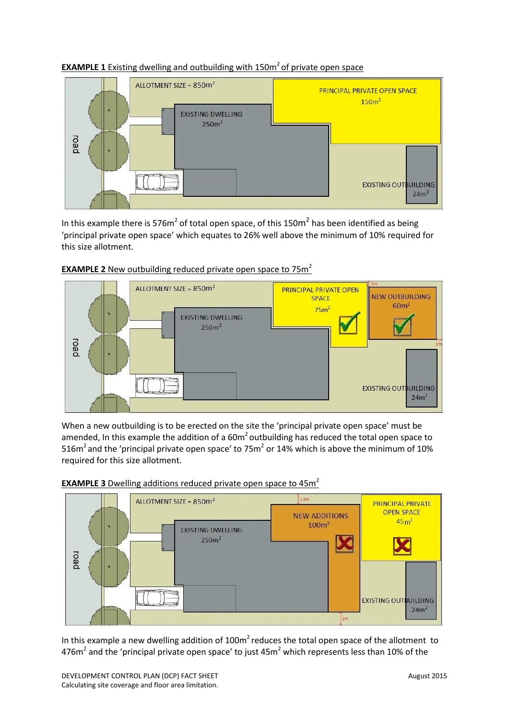



In this example there is 576m<sup>2</sup> of total open space, of this 150m<sup>2</sup> has been identified as being 'principal private open space' which equates to 26% well above the minimum of 10% required for this size allotment.



#### **EXAMPLE 2** New outbuilding reduced private open space to 75m<sup>2</sup>

When a new outbuilding is to be erected on the site the 'principal private open space' must be amended, In this example the addition of a  $60m^2$  outbuilding has reduced the total open space to 516m<sup>2</sup> and the 'principal private open space' to 75m<sup>2</sup> or 14% which is above the minimum of 10% required for this size allotment.



**EXAMPLE 3** Dwelling additions reduced private open space to 45m 2

In this example a new dwelling addition of  $100m<sup>2</sup>$  reduces the total open space of the allotment to 476 $m^2$  and the 'principal private open space' to just 45 $m^2$  which represents less than 10% of the